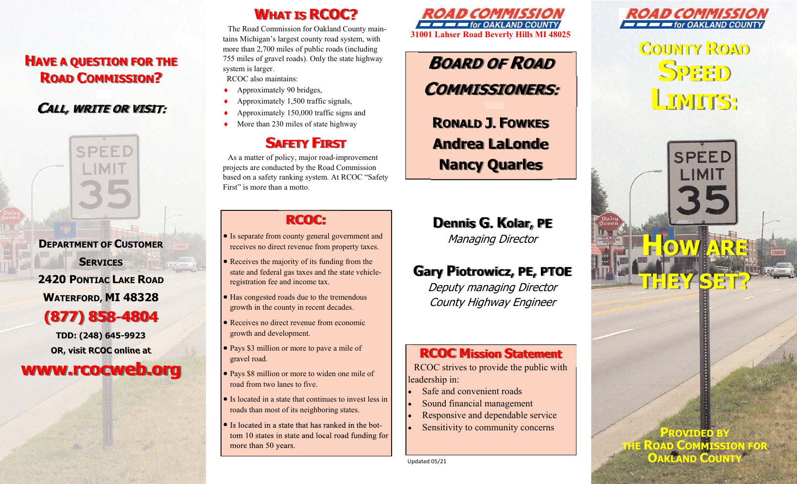## **HAVE A QUESTION FOR THE ROAD COMMISSION?**

## **CALL, WRITE OR VISIT:**

SPEED

**DEPARTMENT OF CUSTOMER** 

**SERVICES 2420 PONTIAC LAKE ROAD WATERFORD, MI 48328 (877) 858-4804**

**TDD: (248) 645-9923 OR, visit RCOC online at** 

**www.rcocweb.org**

# **WHAT IS RCOC?**

The Road Commission for Oakland County maintains Michigan's largest county road system, with more than 2,700 miles of public roads (including 755 miles of gravel roads). Only the state highway system is larger. RCOC also maintains:

- ٠ Approximately 90 bridges,
- ٠ Approximately 1,500 traffic signals,
- ٠ Approximately 150,000 traffic signs and
- ٠ More than 230 miles of state highway

# **SAFETY FIRST**

As a matter of policy, major road-improvement projects are conducted by the Road Commission based on a safety ranking system. At RCOC "Safety First" is more than a motto.

## **RCOC:**

- Is separate from county general government and receives no direct revenue from property taxes.
- Receives the majority of its funding from the state and federal gas taxes and the state vehicleregistration fee and income tax.
- Has congested roads due to the tremendous growth in the county in recent decades.
- Receives no direct revenue from economic growth and development.
- Pays \$3 million or more to pave a mile of gravel road.
- Pays \$8 million or more to widen one mile of road from two lanes to five.
- Is located in a state that continues to invest less in roads than most of its neighboring states.
- $\bullet$ tom 10 states in state and local road funding for more than 50 years.



**BOARD OF ROADCOMMISSIONERS:**

**RONALD J. FOWKESAndrea LaLondeNancy Quarles**

**Dennis G. Kolar, PE** Managing Director

## **Gary Piotrowicz, PE, PTOE**

Deputy managing Director County Highway Engineer

### **RCOC Mission Statement**

RCOC strives to provide the public with leadership in:

- $\bullet$ Safe and convenient roads
- l. Sound financial management
- $\bullet$ Responsive and dependable service
- $\bullet$ Sensitivity to community concerns

Updated 05/21



**COUNTY ROAD SPEEDLIMITS:**

**HOW ARE** 

**SPEED** 

LIMIT

**THEY SET?**

**PROVIDED BY THE ROAD COMMISSION FOR** 

**OAKLAND COUNTY**